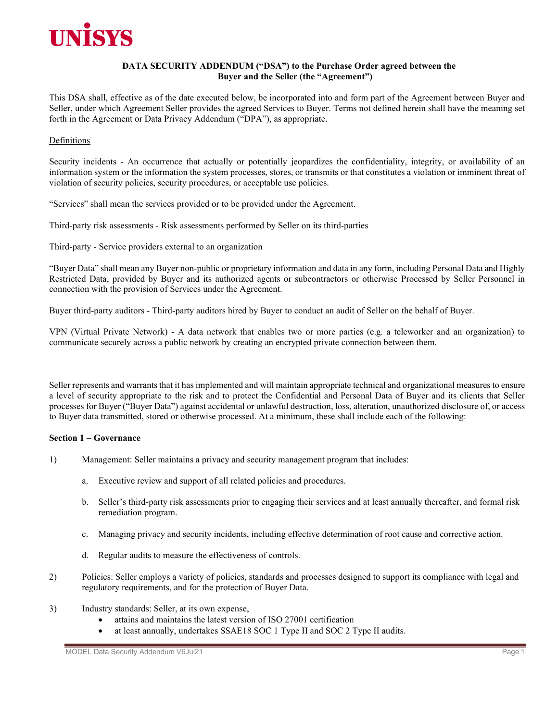

# **DATA SECURITY ADDENDUM ("DSA") to the Purchase Order agreed between the Buyer and the Seller (the "Agreement")**

This DSA shall, effective as of the date executed below, be incorporated into and form part of the Agreement between Buyer and Seller, under which Agreement Seller provides the agreed Services to Buyer. Terms not defined herein shall have the meaning set forth in the Agreement or Data Privacy Addendum ("DPA"), as appropriate.

### **Definitions**

Security incidents - An occurrence that actually or potentially jeopardizes the confidentiality, integrity, or availability of an information system or the information the system processes, stores, or transmits or that constitutes a violation or imminent threat of violation of security policies, security procedures, or acceptable use policies.

"Services" shall mean the services provided or to be provided under the Agreement.

Third-party risk assessments - Risk assessments performed by Seller on its third-parties

Third-party - Service providers external to an organization

"Buyer Data" shall mean any Buyer non-public or proprietary information and data in any form, including Personal Data and Highly Restricted Data, provided by Buyer and its authorized agents or subcontractors or otherwise Processed by Seller Personnel in connection with the provision of Services under the Agreement.

Buyer third-party auditors - Third-party auditors hired by Buyer to conduct an audit of Seller on the behalf of Buyer.

VPN (Virtual Private Network) - A data network that enables two or more parties (e.g. a teleworker and an organization) to communicate securely across a public network by creating an encrypted private connection between them.

Seller represents and warrants that it has implemented and will maintain appropriate technical and organizational measures to ensure a level of security appropriate to the risk and to protect the Confidential and Personal Data of Buyer and its clients that Seller processes for Buyer ("Buyer Data") against accidental or unlawful destruction, loss, alteration, unauthorized disclosure of, or access to Buyer data transmitted, stored or otherwise processed. At a minimum, these shall include each of the following:

#### **Section 1 – Governance**

- 1) Management: Seller maintains a privacy and security management program that includes:
	- a. Executive review and support of all related policies and procedures.
	- b. Seller's third-party risk assessments prior to engaging their services and at least annually thereafter, and formal risk remediation program.
	- c. Managing privacy and security incidents, including effective determination of root cause and corrective action.
	- d. Regular audits to measure the effectiveness of controls.
- 2) Policies: Seller employs a variety of policies, standards and processes designed to support its compliance with legal and regulatory requirements, and for the protection of Buyer Data.
- 3) Industry standards: Seller, at its own expense,
	- attains and maintains the latest version of ISO 27001 certification
	- at least annually, undertakes SSAE18 SOC 1 Type II and SOC 2 Type II audits.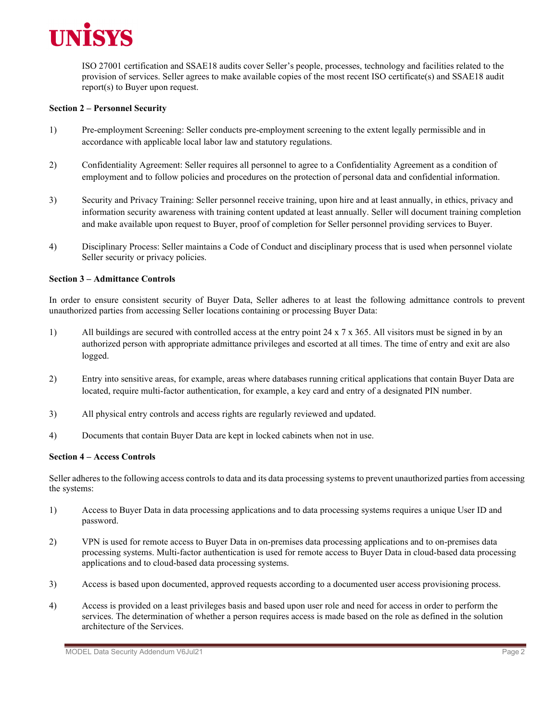

ISO 27001 certification and SSAE18 audits cover Seller's people, processes, technology and facilities related to the provision of services. Seller agrees to make available copies of the most recent ISO certificate(s) and SSAE18 audit report(s) to Buyer upon request.

#### **Section 2 – Personnel Security**

- 1) Pre-employment Screening: Seller conducts pre-employment screening to the extent legally permissible and in accordance with applicable local labor law and statutory regulations.
- 2) Confidentiality Agreement: Seller requires all personnel to agree to a Confidentiality Agreement as a condition of employment and to follow policies and procedures on the protection of personal data and confidential information.
- 3) Security and Privacy Training: Seller personnel receive training, upon hire and at least annually, in ethics, privacy and information security awareness with training content updated at least annually. Seller will document training completion and make available upon request to Buyer, proof of completion for Seller personnel providing services to Buyer.
- 4) Disciplinary Process: Seller maintains a Code of Conduct and disciplinary process that is used when personnel violate Seller security or privacy policies.

#### **Section 3 – Admittance Controls**

In order to ensure consistent security of Buyer Data, Seller adheres to at least the following admittance controls to prevent unauthorized parties from accessing Seller locations containing or processing Buyer Data:

- 1) All buildings are secured with controlled access at the entry point 24 x 7 x 365. All visitors must be signed in by an authorized person with appropriate admittance privileges and escorted at all times. The time of entry and exit are also logged.
- 2) Entry into sensitive areas, for example, areas where databases running critical applications that contain Buyer Data are located, require multi-factor authentication, for example, a key card and entry of a designated PIN number.
- 3) All physical entry controls and access rights are regularly reviewed and updated.
- 4) Documents that contain Buyer Data are kept in locked cabinets when not in use.

#### **Section 4 – Access Controls**

Seller adheres to the following access controls to data and its data processing systems to prevent unauthorized parties from accessing the systems:

- 1) Access to Buyer Data in data processing applications and to data processing systems requires a unique User ID and password.
- 2) VPN is used for remote access to Buyer Data in on-premises data processing applications and to on-premises data processing systems. Multi-factor authentication is used for remote access to Buyer Data in cloud-based data processing applications and to cloud-based data processing systems.
- 3) Access is based upon documented, approved requests according to a documented user access provisioning process.
- 4) Access is provided on a least privileges basis and based upon user role and need for access in order to perform the services. The determination of whether a person requires access is made based on the role as defined in the solution architecture of the Services.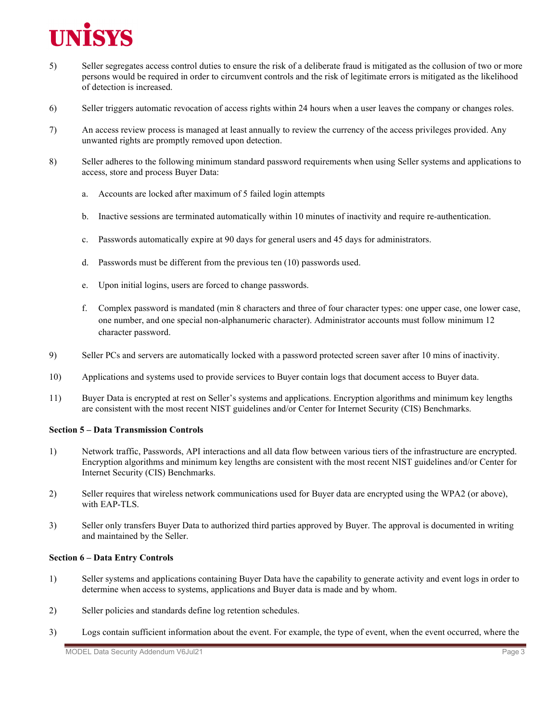

- 5) Seller segregates access control duties to ensure the risk of a deliberate fraud is mitigated as the collusion of two or more persons would be required in order to circumvent controls and the risk of legitimate errors is mitigated as the likelihood of detection is increased.
- 6) Seller triggers automatic revocation of access rights within 24 hours when a user leaves the company or changes roles.
- 7) An access review process is managed at least annually to review the currency of the access privileges provided. Any unwanted rights are promptly removed upon detection.
- 8) Seller adheres to the following minimum standard password requirements when using Seller systems and applications to access, store and process Buyer Data:
	- a. Accounts are locked after maximum of 5 failed login attempts
	- b. Inactive sessions are terminated automatically within 10 minutes of inactivity and require re-authentication.
	- c. Passwords automatically expire at 90 days for general users and 45 days for administrators.
	- d. Passwords must be different from the previous ten (10) passwords used.
	- e. Upon initial logins, users are forced to change passwords.
	- f. Complex password is mandated (min 8 characters and three of four character types: one upper case, one lower case, one number, and one special non-alphanumeric character). Administrator accounts must follow minimum 12 character password.
- 9) Seller PCs and servers are automatically locked with a password protected screen saver after 10 mins of inactivity.
- 10) Applications and systems used to provide services to Buyer contain logs that document access to Buyer data.
- 11) Buyer Data is encrypted at rest on Seller's systems and applications. Encryption algorithms and minimum key lengths are consistent with the most recent NIST guidelines and/or Center for Internet Security (CIS) Benchmarks.

### **Section 5 – Data Transmission Controls**

- 1) Network traffic, Passwords, API interactions and all data flow between various tiers of the infrastructure are encrypted. Encryption algorithms and minimum key lengths are consistent with the most recent NIST guidelines and/or Center for Internet Security (CIS) Benchmarks.
- 2) Seller requires that wireless network communications used for Buyer data are encrypted using the WPA2 (or above), with EAP-TLS.
- 3) Seller only transfers Buyer Data to authorized third parties approved by Buyer. The approval is documented in writing and maintained by the Seller.

#### **Section 6 – Data Entry Controls**

- 1) Seller systems and applications containing Buyer Data have the capability to generate activity and event logs in order to determine when access to systems, applications and Buyer data is made and by whom.
- 2) Seller policies and standards define log retention schedules.
- 3) Logs contain sufficient information about the event. For example, the type of event, when the event occurred, where the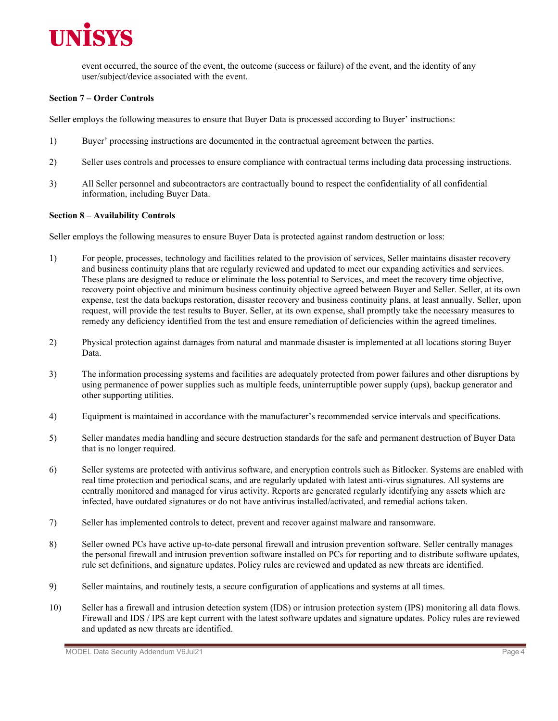

event occurred, the source of the event, the outcome (success or failure) of the event, and the identity of any user/subject/device associated with the event.

# **Section 7 – Order Controls**

Seller employs the following measures to ensure that Buyer Data is processed according to Buyer' instructions:

- 1) Buyer' processing instructions are documented in the contractual agreement between the parties.
- 2) Seller uses controls and processes to ensure compliance with contractual terms including data processing instructions.
- 3) All Seller personnel and subcontractors are contractually bound to respect the confidentiality of all confidential information, including Buyer Data.

### **Section 8 – Availability Controls**

Seller employs the following measures to ensure Buyer Data is protected against random destruction or loss:

- 1) For people, processes, technology and facilities related to the provision of services, Seller maintains disaster recovery and business continuity plans that are regularly reviewed and updated to meet our expanding activities and services. These plans are designed to reduce or eliminate the loss potential to Services, and meet the recovery time objective, recovery point objective and minimum business continuity objective agreed between Buyer and Seller. Seller, at its own expense, test the data backups restoration, disaster recovery and business continuity plans, at least annually. Seller, upon request, will provide the test results to Buyer. Seller, at its own expense, shall promptly take the necessary measures to remedy any deficiency identified from the test and ensure remediation of deficiencies within the agreed timelines.
- 2) Physical protection against damages from natural and manmade disaster is implemented at all locations storing Buyer Data.
- 3) The information processing systems and facilities are adequately protected from power failures and other disruptions by using permanence of power supplies such as multiple feeds, uninterruptible power supply (ups), backup generator and other supporting utilities.
- 4) Equipment is maintained in accordance with the manufacturer's recommended service intervals and specifications.
- 5) Seller mandates media handling and secure destruction standards for the safe and permanent destruction of Buyer Data that is no longer required.
- 6) Seller systems are protected with antivirus software, and encryption controls such as Bitlocker. Systems are enabled with real time protection and periodical scans, and are regularly updated with latest anti-virus signatures. All systems are centrally monitored and managed for virus activity. Reports are generated regularly identifying any assets which are infected, have outdated signatures or do not have antivirus installed/activated, and remedial actions taken.
- 7) Seller has implemented controls to detect, prevent and recover against malware and ransomware.
- 8) Seller owned PCs have active up-to-date personal firewall and intrusion prevention software. Seller centrally manages the personal firewall and intrusion prevention software installed on PCs for reporting and to distribute software updates, rule set definitions, and signature updates. Policy rules are reviewed and updated as new threats are identified.
- 9) Seller maintains, and routinely tests, a secure configuration of applications and systems at all times.
- 10) Seller has a firewall and intrusion detection system (IDS) or intrusion protection system (IPS) monitoring all data flows. Firewall and IDS / IPS are kept current with the latest software updates and signature updates. Policy rules are reviewed and updated as new threats are identified.

MODEL Data Security Addendum V6Jul21 **Page 4** Page 4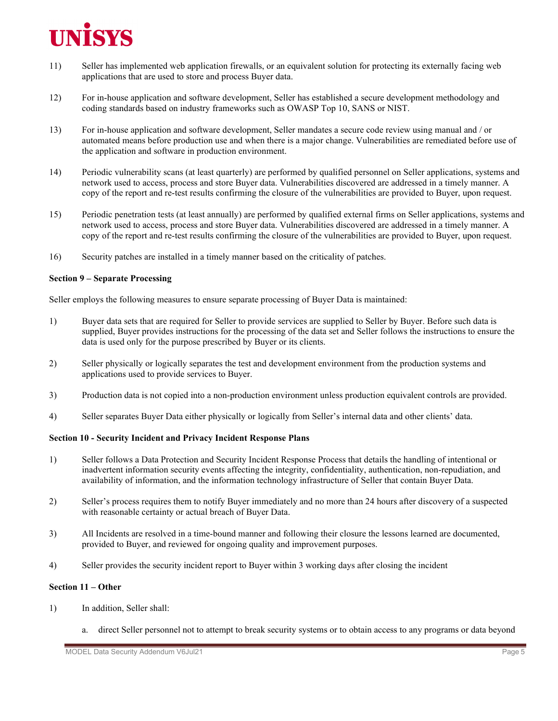

- 11) Seller has implemented web application firewalls, or an equivalent solution for protecting its externally facing web applications that are used to store and process Buyer data.
- 12) For in-house application and software development, Seller has established a secure development methodology and coding standards based on industry frameworks such as OWASP Top 10, SANS or NIST.
- 13) For in-house application and software development, Seller mandates a secure code review using manual and / or automated means before production use and when there is a major change. Vulnerabilities are remediated before use of the application and software in production environment.
- 14) Periodic vulnerability scans (at least quarterly) are performed by qualified personnel on Seller applications, systems and network used to access, process and store Buyer data. Vulnerabilities discovered are addressed in a timely manner. A copy of the report and re-test results confirming the closure of the vulnerabilities are provided to Buyer, upon request.
- 15) Periodic penetration tests (at least annually) are performed by qualified external firms on Seller applications, systems and network used to access, process and store Buyer data. Vulnerabilities discovered are addressed in a timely manner. A copy of the report and re-test results confirming the closure of the vulnerabilities are provided to Buyer, upon request.
- 16) Security patches are installed in a timely manner based on the criticality of patches.

### **Section 9 – Separate Processing**

Seller employs the following measures to ensure separate processing of Buyer Data is maintained:

- 1) Buyer data sets that are required for Seller to provide services are supplied to Seller by Buyer. Before such data is supplied, Buyer provides instructions for the processing of the data set and Seller follows the instructions to ensure the data is used only for the purpose prescribed by Buyer or its clients.
- 2) Seller physically or logically separates the test and development environment from the production systems and applications used to provide services to Buyer.
- 3) Production data is not copied into a non-production environment unless production equivalent controls are provided.
- 4) Seller separates Buyer Data either physically or logically from Seller's internal data and other clients' data.

# **Section 10 - Security Incident and Privacy Incident Response Plans**

- 1) Seller follows a Data Protection and Security Incident Response Process that details the handling of intentional or inadvertent information security events affecting the integrity, confidentiality, authentication, non-repudiation, and availability of information, and the information technology infrastructure of Seller that contain Buyer Data.
- 2) Seller's process requires them to notify Buyer immediately and no more than 24 hours after discovery of a suspected with reasonable certainty or actual breach of Buyer Data.
- 3) All Incidents are resolved in a time-bound manner and following their closure the lessons learned are documented, provided to Buyer, and reviewed for ongoing quality and improvement purposes.
- 4) Seller provides the security incident report to Buyer within 3 working days after closing the incident

# **Section 11 – Other**

- 1) In addition, Seller shall:
	- a. direct Seller personnel not to attempt to break security systems or to obtain access to any programs or data beyond